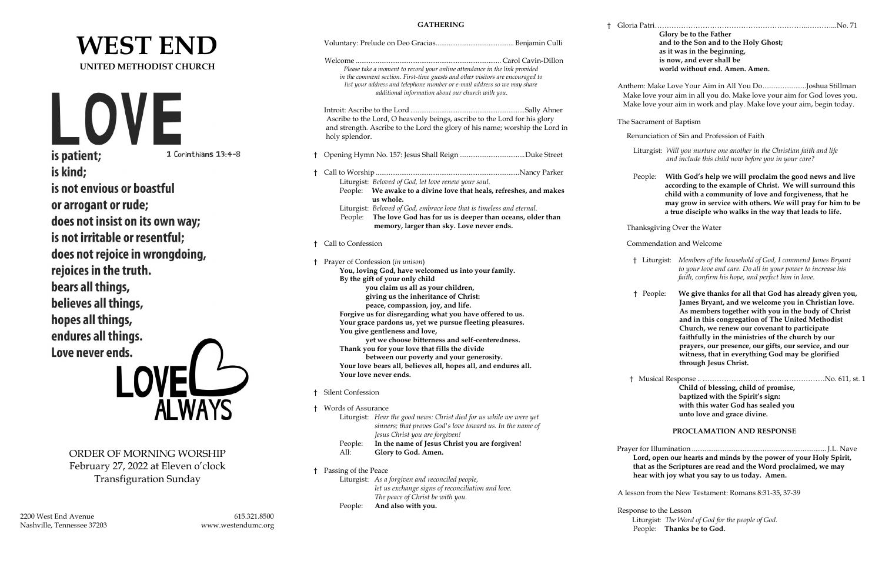|                                                                      |                                    | <b>GATHERING</b>                                                                                                                                                                                                                                                                              | Gloria Patr           |
|----------------------------------------------------------------------|------------------------------------|-----------------------------------------------------------------------------------------------------------------------------------------------------------------------------------------------------------------------------------------------------------------------------------------------|-----------------------|
| <b>WEST END</b>                                                      |                                    |                                                                                                                                                                                                                                                                                               |                       |
| <b>UNITED METHODIST CHURCH</b>                                       |                                    | Please take a moment to record your online attendance in the link provided<br>in the comment section. First-time guests and other visitors are encouraged to<br>list your address and telephone number or e-mail address so we may share<br>additional information about our church with you. | Anthem: M<br>Make lov |
|                                                                      |                                    |                                                                                                                                                                                                                                                                                               | Make lov              |
| VI<br><b>ION</b>                                                     | h                                  | Ascribe to the Lord, O heavenly beings, ascribe to the Lord for his glory                                                                                                                                                                                                                     | The Sacran            |
|                                                                      |                                    | and strength. Ascribe to the Lord the glory of his name; worship the Lord in<br>holy splendor.                                                                                                                                                                                                | Renunci               |
| is patient;                                                          | 1 Corinthians 13:4-8               |                                                                                                                                                                                                                                                                                               | Liturg                |
| is kind;                                                             |                                    |                                                                                                                                                                                                                                                                                               |                       |
|                                                                      |                                    | Liturgist: Beloved of God, let love renew your soul.                                                                                                                                                                                                                                          | People                |
| is not envious or boastful                                           |                                    | People: We awake to a divine love that heals, refreshes, and makes<br>us whole.                                                                                                                                                                                                               |                       |
| or arrogant or rude;                                                 |                                    | Liturgist: Beloved of God, embrace love that is timeless and eternal.                                                                                                                                                                                                                         |                       |
| does not insist on its own way;                                      |                                    | The love God has for us is deeper than oceans, older than<br>People:<br>memory, larger than sky. Love never ends.                                                                                                                                                                             |                       |
| is not irritable or resentful;                                       |                                    |                                                                                                                                                                                                                                                                                               | Thanksg               |
| does not rejoice in wrongdoing,                                      |                                    | † Call to Confession                                                                                                                                                                                                                                                                          | Comme                 |
| rejoices in the truth.                                               |                                    | † Prayer of Confession (in unison)                                                                                                                                                                                                                                                            | † Lit                 |
|                                                                      |                                    | You, loving God, have welcomed us into your family.<br>By the gift of your only child                                                                                                                                                                                                         |                       |
| bears all things,                                                    |                                    | you claim us all as your children,<br>giving us the inheritance of Christ:                                                                                                                                                                                                                    | † Peo                 |
| believes all things,                                                 |                                    | peace, compassion, joy, and life.                                                                                                                                                                                                                                                             |                       |
| hopes all things,                                                    |                                    | Forgive us for disregarding what you have offered to us.<br>Your grace pardons us, yet we pursue fleeting pleasures.                                                                                                                                                                          |                       |
| endures all things.                                                  |                                    | You give gentleness and love,                                                                                                                                                                                                                                                                 |                       |
| Love never ends.                                                     |                                    | yet we choose bitterness and self-centeredness.<br>Thank you for your love that fills the divide                                                                                                                                                                                              |                       |
|                                                                      |                                    | between our poverty and your generosity.                                                                                                                                                                                                                                                      |                       |
|                                                                      |                                    | Your love bears all, believes all, hopes all, and endures all.<br>Your love never ends.                                                                                                                                                                                                       | $\dagger$ Mus         |
|                                                                      |                                    | <b>Silent Confession</b>                                                                                                                                                                                                                                                                      |                       |
|                                                                      | <b>ALWAYS</b>                      | † Words of Assurance                                                                                                                                                                                                                                                                          |                       |
|                                                                      |                                    | Liturgist: Hear the good news: Christ died for us while we were yet<br>sinners; that proves God's love toward us. In the name of<br>Jesus Christ you are forgiven!                                                                                                                            |                       |
|                                                                      |                                    | In the name of Jesus Christ you are forgiven!<br>People:                                                                                                                                                                                                                                      | Prayer for 1          |
| ORDER OF MORNING WORSHIP                                             |                                    | Glory to God. Amen.<br>All:                                                                                                                                                                                                                                                                   | Lord,                 |
| February 27, 2022 at Eleven o'clock<br><b>Transfiguration Sunday</b> |                                    | † Passing of the Peace                                                                                                                                                                                                                                                                        | that a<br>hear v      |
|                                                                      |                                    | Liturgist: As a forgiven and reconciled people,<br>let us exchange signs of reconciliation and love.<br>The peace of Christ be with you.                                                                                                                                                      | A lesson fr           |
|                                                                      |                                    | And also with you.<br>People:                                                                                                                                                                                                                                                                 | Response t            |
| 2200 West End Avenue<br>Nashville, Tennessee 37203                   | 615.321.8500<br>www.westendumc.org |                                                                                                                                                                                                                                                                                               | Liturg<br>People      |
|                                                                      |                                    |                                                                                                                                                                                                                                                                                               |                       |

e: With God's help we will proclaim the good news and live  **according to the example of Christ. We will surround this child with a community of love and forgiveness, that he may grow in service with others. We will pray for him to be a true disciple who walks in the way that leads to life.**

giving Over the Water

endation and Welcome

to the Lesson tist: *The Word of God for the people of God.* People: **Thanks be to God.**

† Gloria Patri………………………………………………………..………...No. 71

**Glory be to the Father and to the Son and to the Holy Ghost; as it was in the beginning, is now, and ever shall be world without end. Amen. Amen.**

1ake Love Your Aim in All You Do........................Joshua Stillman ve your aim in all you do. Make love your aim for God loves you. e your aim in work and play. Make love your aim, begin today.

nent of Baptism

iation of Sin and Profession of Faith

 Liturgist: *Will you nurture one another in the Christian faith and life and include this child now before you in your care?*

- † Liturgist: *Members of the household of God, I commend James Bryant to your love and care. Do all in your power to increase his faith, confirm his hope, and perfect him in love.*
- ople: We give thanks for all that God has already given you,  **James Bryant, and we welcome you in Christian love. As members together with you in the body of Christ and in this congregation of The United Methodist Church, we renew our covenant to participate faithfully in the ministries of the church by our prayers, our presence, our gifts, our service, and our witness, that in everything God may be glorified through Jesus Christ.**

 † Musical Response .. ……………………………………………No. 611, st. 1  **Child of blessing, child of promise, baptized with the Spirit's sign: with this water God has sealed you unto love and grace divine.**

### **PROCLAMATION AND RESPONSE**

 Prayer for Illumination .......................................................................... J.L. Nave **Lord, open our hearts and minds by the power of your Holy Spirit, the Scriptures are read and the Word proclaimed, we may hear with joy what you say to us today. Amen.**

om the New Testament: Romans 8:31-35, 37-39